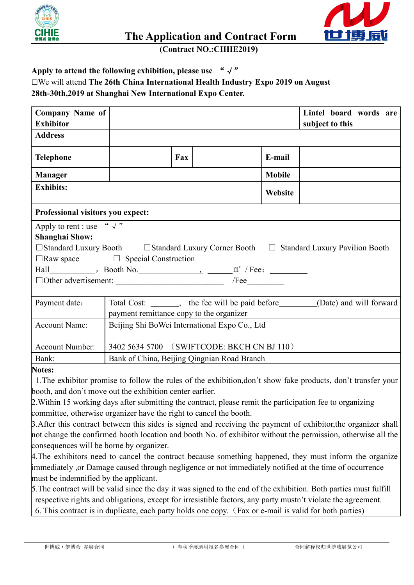



**The Application and Contract Form**

**(Contract NO.:CIHIE2019)**

## Apply to attend the following exhibition, please use  $\sqrt{x}$ □We will attend **The 26th China International Health Industry Expo 2019 on August 28th-30th,2019 at Shanghai New International Expo Center.**

| <b>Company Name of</b><br><b>Exhibitor</b> |                                                                                                        |     |                                                                                 |               | Lintel board words are<br>subject to this |  |  |
|--------------------------------------------|--------------------------------------------------------------------------------------------------------|-----|---------------------------------------------------------------------------------|---------------|-------------------------------------------|--|--|
| <b>Address</b>                             |                                                                                                        |     |                                                                                 |               |                                           |  |  |
| <b>Telephone</b>                           |                                                                                                        | Fax |                                                                                 | E-mail        |                                           |  |  |
| <b>Manager</b>                             |                                                                                                        |     |                                                                                 | <b>Mobile</b> |                                           |  |  |
| <b>Exhibits:</b>                           |                                                                                                        |     |                                                                                 |               |                                           |  |  |
| Professional visitors you expect:          |                                                                                                        |     |                                                                                 |               |                                           |  |  |
| Apply to rent : use " $\sqrt{''}$          |                                                                                                        |     |                                                                                 |               |                                           |  |  |
| <b>Shanghai Show:</b>                      |                                                                                                        |     |                                                                                 |               |                                           |  |  |
|                                            | $\Box$ Standard Luxury Booth $\Box$ Standard Luxury Corner Booth $\Box$ Standard Luxury Pavilion Booth |     |                                                                                 |               |                                           |  |  |
|                                            | $\Box$ Raw space $\Box$ Special Construction                                                           |     |                                                                                 |               |                                           |  |  |
|                                            |                                                                                                        |     |                                                                                 |               |                                           |  |  |
|                                            | $\Box$ Other advertisement:                                                                            |     | $/$ Fee                                                                         |               |                                           |  |  |
| Payment date:                              |                                                                                                        |     | Total Cost: _______, the fee will be paid before________(Date) and will forward |               |                                           |  |  |
|                                            | payment remittance copy to the organizer                                                               |     |                                                                                 |               |                                           |  |  |
| <b>Account Name:</b>                       | Beijing Shi BoWei International Expo Co., Ltd                                                          |     |                                                                                 |               |                                           |  |  |
| <b>Account Number:</b>                     | 3402 5634 5700 (SWIFTCODE: BKCH CN BJ 110)                                                             |     |                                                                                 |               |                                           |  |  |
| Bank:                                      | Bank of China, Beijing Qingnian Road Branch                                                            |     |                                                                                 |               |                                           |  |  |

## **Notes:**

1. The exhibitor promise to follow the rules of the exhibition,don't show fake products, don't transfer your booth, and don't move out the exhibition center earlier.

2.Within 15 working daysafter submitting the contract, please remit the participation fee to organizing committee, otherwise organizer have the right to cancel the booth.

3.After this contract between this sides is signed and receiving the payment of exhibitor,the organizer shall not change the confirmed booth location and booth No. of exhibitor without the permission, otherwise all the consequences will be borne by organizer.

4.The exhibitors need to cancel the contract because something happened, they must inform the organize immediately ,or Damage caused through negligence or not immediately notified at the time of occurrence must be indemnified by the applicant.

5.The contract will be valid since the day it was signed to the end of the exhibition. Both parties must fulfill respective rights and obligations, except for irresistible factors, any party mustn't violate the agreement. 6. This contract is in duplicate, each party holds one copy.(Fax or e-mail is valid for both parties)